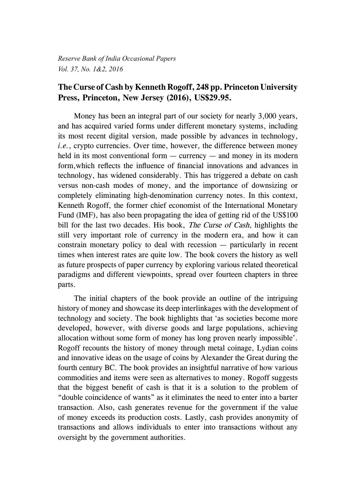*Reserve Bank of India Occasional Papers Vol. 37, No. 1&2, 2016*

## **The Curse of Cash by Kenneth Rogoff, 248 pp. Princeton University Press, Princeton, New Jersey (2016), US\$29.95.**

Money has been an integral part of our society for nearly 3,000 years, and has acquired varied forms under different monetary systems, including its most recent digital version, made possible by advances in technology, *i.e.*, crypto currencies. Over time, however, the difference between money held in its most conventional form — currency — and money in its modern form,which reflects the influence of financial innovations and advances in technology, has widened considerably. This has triggered a debate on cash versus non-cash modes of money, and the importance of downsizing or completely eliminating high-denomination currency notes. In this context, Kenneth Rogoff, the former chief economist of the International Monetary Fund (IMF), has also been propagating the idea of getting rid of the US\$100 bill for the last two decades. His book, *The Curse of Cash*, highlights the still very important role of currency in the modern era, and how it can constrain monetary policy to deal with recession — particularly in recent times when interest rates are quite low. The book covers the history as well as future prospects of paper currency by exploring various related theoretical paradigms and different viewpoints, spread over fourteen chapters in three parts.

The initial chapters of the book provide an outline of the intriguing history of money and showcase its deep interlinkages with the development of technology and society. The book highlights that 'as societies become more developed, however, with diverse goods and large populations, achieving allocation without some form of money has long proven nearly impossible'. Rogoff recounts the history of money through metal coinage, Lydian coins and innovative ideas on the usage of coins by Alexander the Great during the fourth century BC. The book provides an insightful narrative of how various commodities and items were seen as alternatives to money. Rogoff suggests that the biggest benefit of cash is that it is a solution to the problem of "double coincidence of wants" as it eliminates the need to enter into a barter transaction. Also, cash generates revenue for the government if the value of money exceeds its production costs. Lastly, cash provides anonymity of transactions and allows individuals to enter into transactions without any oversight by the government authorities.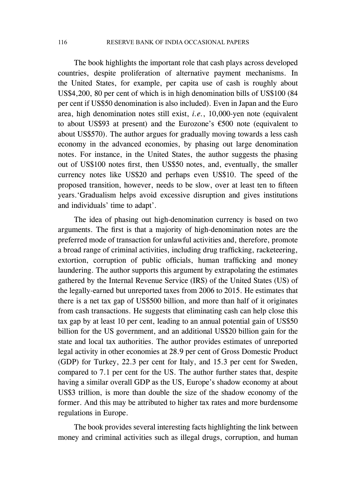116 RESERVE BANK OF INDIA OCCASIONAL PAPERS

The book highlights the important role that cash plays across developed countries, despite proliferation of alternative payment mechanisms. In the United States, for example, per capita use of cash is roughly about US\$4,200, 80 per cent of which is in high denomination bills of US\$100 (84 per cent if US\$50 denomination is also included). Even in Japan and the Euro area, high denomination notes still exist, *i.e.*, 10,000-yen note (equivalent to about US\$93 at present) and the Eurozone's €500 note (equivalent to about US\$570). The author argues for gradually moving towards a less cash economy in the advanced economies, by phasing out large denomination notes. For instance, in the United States, the author suggests the phasing out of US\$100 notes first, then US\$50 notes, and, eventually, the smaller currency notes like US\$20 and perhaps even US\$10. The speed of the proposed transition, however, needs to be slow, over at least ten to fifteen years.'Gradualism helps avoid excessive disruption and gives institutions and individuals' time to adapt'.

The idea of phasing out high-denomination currency is based on two arguments. The first is that a majority of high-denomination notes are the preferred mode of transaction for unlawful activities and, therefore, promote a broad range of criminal activities, including drug trafficking, racketeering, extortion, corruption of public officials, human trafficking and money laundering. The author supports this argument by extrapolating the estimates gathered by the Internal Revenue Service (IRS) of the United States (US) of the legally-earned but unreported taxes from 2006 to 2015. He estimates that there is a net tax gap of US\$500 billion, and more than half of it originates from cash transactions. He suggests that eliminating cash can help close this tax gap by at least 10 per cent, leading to an annual potential gain of US\$50 billion for the US government, and an additional US\$20 billion gain for the state and local tax authorities. The author provides estimates of unreported legal activity in other economies at 28.9 per cent of Gross Domestic Product (GDP) for Turkey, 22.3 per cent for Italy, and 15.3 per cent for Sweden, compared to 7.1 per cent for the US. The author further states that, despite having a similar overall GDP as the US, Europe's shadow economy at about US\$3 trillion, is more than double the size of the shadow economy of the former. And this may be attributed to higher tax rates and more burdensome regulations in Europe.

The book provides several interesting facts highlighting the link between money and criminal activities such as illegal drugs, corruption, and human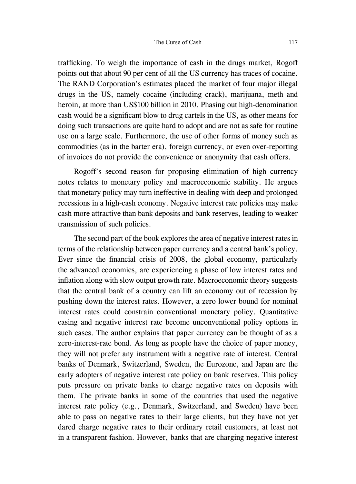trafficking. To weigh the importance of cash in the drugs market, Rogoff points out that about 90 per cent of all the US currency has traces of cocaine. The RAND Corporation's estimates placed the market of four major illegal drugs in the US, namely cocaine (including crack), marijuana, meth and heroin, at more than US\$100 billion in 2010. Phasing out high-denomination cash would be a significant blow to drug cartels in the US, as other means for doing such transactions are quite hard to adopt and are not as safe for routine use on a large scale. Furthermore, the use of other forms of money such as commodities (as in the barter era), foreign currency, or even over-reporting of invoices do not provide the convenience or anonymity that cash offers.

Rogoff's second reason for proposing elimination of high currency notes relates to monetary policy and macroeconomic stability. He argues that monetary policy may turn ineffective in dealing with deep and prolonged recessions in a high-cash economy. Negative interest rate policies may make cash more attractive than bank deposits and bank reserves, leading to weaker transmission of such policies.

The second part of the book explores the area of negative interest rates in terms of the relationship between paper currency and a central bank's policy. Ever since the financial crisis of 2008, the global economy, particularly the advanced economies, are experiencing a phase of low interest rates and inflation along with slow output growth rate. Macroeconomic theory suggests that the central bank of a country can lift an economy out of recession by pushing down the interest rates. However, a zero lower bound for nominal interest rates could constrain conventional monetary policy. Quantitative easing and negative interest rate become unconventional policy options in such cases. The author explains that paper currency can be thought of as a zero-interest-rate bond. As long as people have the choice of paper money, they will not prefer any instrument with a negative rate of interest. Central banks of Denmark, Switzerland, Sweden, the Eurozone, and Japan are the early adopters of negative interest rate policy on bank reserves. This policy puts pressure on private banks to charge negative rates on deposits with them. The private banks in some of the countries that used the negative interest rate policy (e.g., Denmark, Switzerland, and Sweden) have been able to pass on negative rates to their large clients, but they have not yet dared charge negative rates to their ordinary retail customers, at least not in a transparent fashion. However, banks that are charging negative interest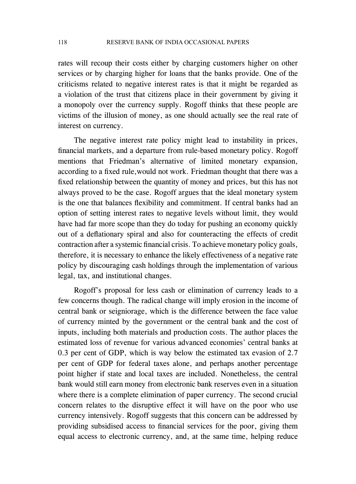rates will recoup their costs either by charging customers higher on other services or by charging higher for loans that the banks provide. One of the criticisms related to negative interest rates is that it might be regarded as a violation of the trust that citizens place in their government by giving it a monopoly over the currency supply. Rogoff thinks that these people are victims of the illusion of money, as one should actually see the real rate of interest on currency.

The negative interest rate policy might lead to instability in prices, financial markets, and a departure from rule-based monetary policy. Rogoff mentions that Friedman's alternative of limited monetary expansion, according to a fixed rule,would not work. Friedman thought that there was a fixed relationship between the quantity of money and prices, but this has not always proved to be the case. Rogoff argues that the ideal monetary system is the one that balances flexibility and commitment. If central banks had an option of setting interest rates to negative levels without limit, they would have had far more scope than they do today for pushing an economy quickly out of a deflationary spiral and also for counteracting the effects of credit contraction after a systemic financial crisis. To achieve monetary policy goals, therefore, it is necessary to enhance the likely effectiveness of a negative rate policy by discouraging cash holdings through the implementation of various legal, tax, and institutional changes.

Rogoff's proposal for less cash or elimination of currency leads to a few concerns though. The radical change will imply erosion in the income of central bank or seigniorage, which is the difference between the face value of currency minted by the government or the central bank and the cost of inputs, including both materials and production costs. The author places the estimated loss of revenue for various advanced economies' central banks at 0.3 per cent of GDP, which is way below the estimated tax evasion of 2.7 per cent of GDP for federal taxes alone, and perhaps another percentage point higher if state and local taxes are included. Nonetheless, the central bank would still earn money from electronic bank reserves even in a situation where there is a complete elimination of paper currency. The second crucial concern relates to the disruptive effect it will have on the poor who use currency intensively. Rogoff suggests that this concern can be addressed by providing subsidised access to financial services for the poor, giving them equal access to electronic currency, and, at the same time, helping reduce